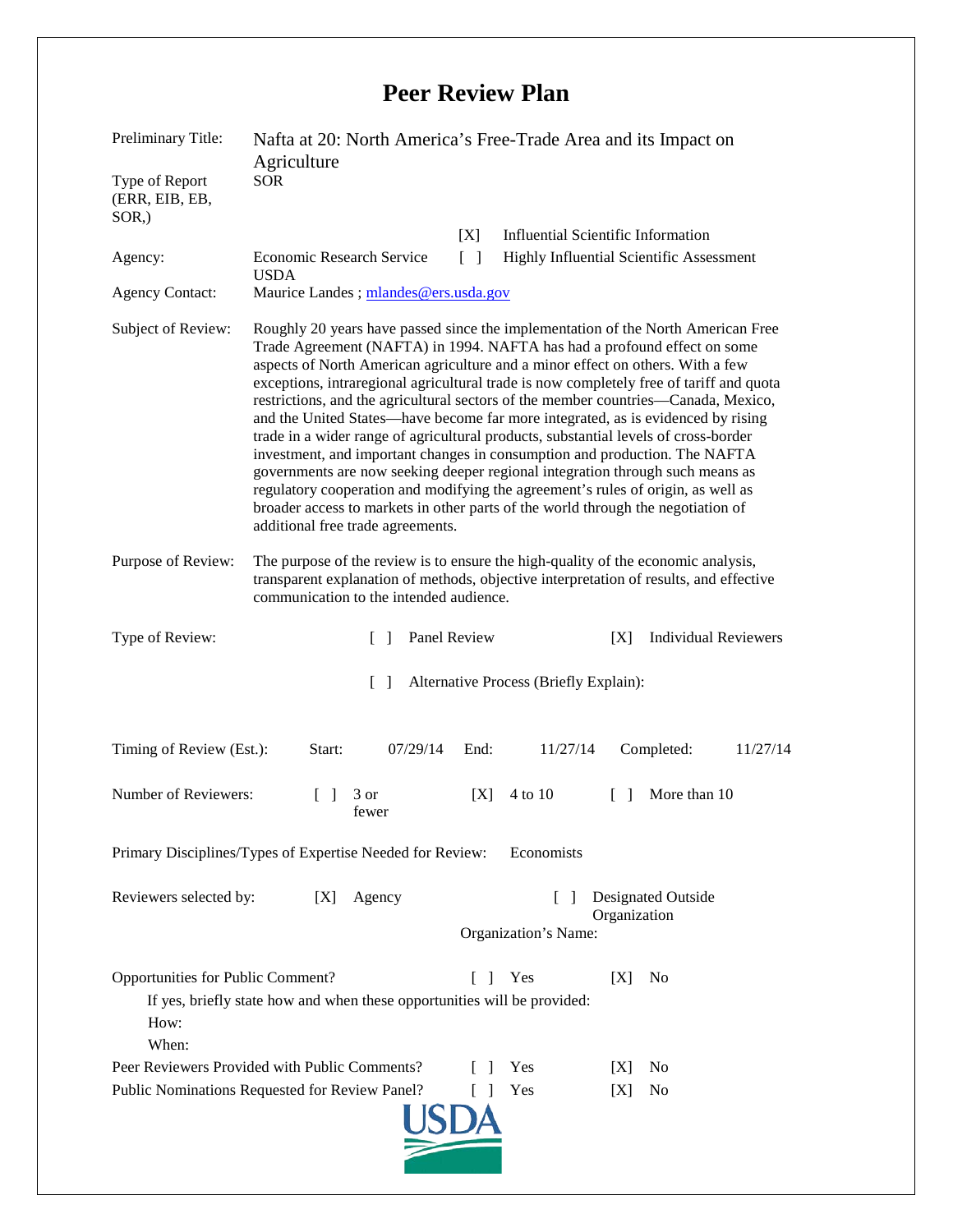## **Peer Review Plan**

| Preliminary Title:                                                                                                                                                                   | Nafta at 20: North America's Free-Trade Area and its Impact on<br>Agriculture                                                                                                                                                                                                                                                                                                                                                                                                                                                                                                                                                                                                                                                                                                                                                                                                                                                                                                          |
|--------------------------------------------------------------------------------------------------------------------------------------------------------------------------------------|----------------------------------------------------------------------------------------------------------------------------------------------------------------------------------------------------------------------------------------------------------------------------------------------------------------------------------------------------------------------------------------------------------------------------------------------------------------------------------------------------------------------------------------------------------------------------------------------------------------------------------------------------------------------------------------------------------------------------------------------------------------------------------------------------------------------------------------------------------------------------------------------------------------------------------------------------------------------------------------|
| Type of Report<br>(ERR, EIB, EB,<br>$SOR$ .)                                                                                                                                         | <b>SOR</b>                                                                                                                                                                                                                                                                                                                                                                                                                                                                                                                                                                                                                                                                                                                                                                                                                                                                                                                                                                             |
|                                                                                                                                                                                      | <b>Influential Scientific Information</b><br>[X]                                                                                                                                                                                                                                                                                                                                                                                                                                                                                                                                                                                                                                                                                                                                                                                                                                                                                                                                       |
| Agency:                                                                                                                                                                              | <b>Economic Research Service</b><br>Highly Influential Scientific Assessment<br>$\lceil \rceil$                                                                                                                                                                                                                                                                                                                                                                                                                                                                                                                                                                                                                                                                                                                                                                                                                                                                                        |
| <b>Agency Contact:</b>                                                                                                                                                               | <b>USDA</b><br>Maurice Landes; mlandes@ers.usda.gov                                                                                                                                                                                                                                                                                                                                                                                                                                                                                                                                                                                                                                                                                                                                                                                                                                                                                                                                    |
| Subject of Review:                                                                                                                                                                   | Roughly 20 years have passed since the implementation of the North American Free<br>Trade Agreement (NAFTA) in 1994. NAFTA has had a profound effect on some<br>aspects of North American agriculture and a minor effect on others. With a few<br>exceptions, intraregional agricultural trade is now completely free of tariff and quota<br>restrictions, and the agricultural sectors of the member countries—Canada, Mexico,<br>and the United States—have become far more integrated, as is evidenced by rising<br>trade in a wider range of agricultural products, substantial levels of cross-border<br>investment, and important changes in consumption and production. The NAFTA<br>governments are now seeking deeper regional integration through such means as<br>regulatory cooperation and modifying the agreement's rules of origin, as well as<br>broader access to markets in other parts of the world through the negotiation of<br>additional free trade agreements. |
| Purpose of Review:                                                                                                                                                                   | The purpose of the review is to ensure the high-quality of the economic analysis,<br>transparent explanation of methods, objective interpretation of results, and effective<br>communication to the intended audience.                                                                                                                                                                                                                                                                                                                                                                                                                                                                                                                                                                                                                                                                                                                                                                 |
| Type of Review:                                                                                                                                                                      | Panel Review<br><b>Individual Reviewers</b><br>[X]<br>$\Box$                                                                                                                                                                                                                                                                                                                                                                                                                                                                                                                                                                                                                                                                                                                                                                                                                                                                                                                           |
|                                                                                                                                                                                      | Alternative Process (Briefly Explain):<br>$\Box$                                                                                                                                                                                                                                                                                                                                                                                                                                                                                                                                                                                                                                                                                                                                                                                                                                                                                                                                       |
| Timing of Review (Est.):                                                                                                                                                             | 07/29/14<br>Completed:<br>11/27/14<br>Start:<br>11/27/14<br>End:                                                                                                                                                                                                                                                                                                                                                                                                                                                                                                                                                                                                                                                                                                                                                                                                                                                                                                                       |
| Number of Reviewers:                                                                                                                                                                 | More than 10<br>4 to 10<br>3 or<br>[X]<br>$\Box$<br>$\Box$<br>fewer                                                                                                                                                                                                                                                                                                                                                                                                                                                                                                                                                                                                                                                                                                                                                                                                                                                                                                                    |
| Primary Disciplines/Types of Expertise Needed for Review:<br>Economists                                                                                                              |                                                                                                                                                                                                                                                                                                                                                                                                                                                                                                                                                                                                                                                                                                                                                                                                                                                                                                                                                                                        |
| Reviewers selected by:                                                                                                                                                               | <b>Designated Outside</b><br>[X]<br>Agency<br>$\Box$<br>Organization<br>Organization's Name:                                                                                                                                                                                                                                                                                                                                                                                                                                                                                                                                                                                                                                                                                                                                                                                                                                                                                           |
| Opportunities for Public Comment?<br>f.<br>Yes<br>IXI<br>N <sub>0</sub><br>$\mathbf{I}$<br>If yes, briefly state how and when these opportunities will be provided:<br>How:<br>When: |                                                                                                                                                                                                                                                                                                                                                                                                                                                                                                                                                                                                                                                                                                                                                                                                                                                                                                                                                                                        |
|                                                                                                                                                                                      | Peer Reviewers Provided with Public Comments?<br>Yes<br>N <sub>0</sub><br>[X]                                                                                                                                                                                                                                                                                                                                                                                                                                                                                                                                                                                                                                                                                                                                                                                                                                                                                                          |
|                                                                                                                                                                                      | Public Nominations Requested for Review Panel?<br>Yes<br>[X]<br>N <sub>0</sub>                                                                                                                                                                                                                                                                                                                                                                                                                                                                                                                                                                                                                                                                                                                                                                                                                                                                                                         |
|                                                                                                                                                                                      |                                                                                                                                                                                                                                                                                                                                                                                                                                                                                                                                                                                                                                                                                                                                                                                                                                                                                                                                                                                        |